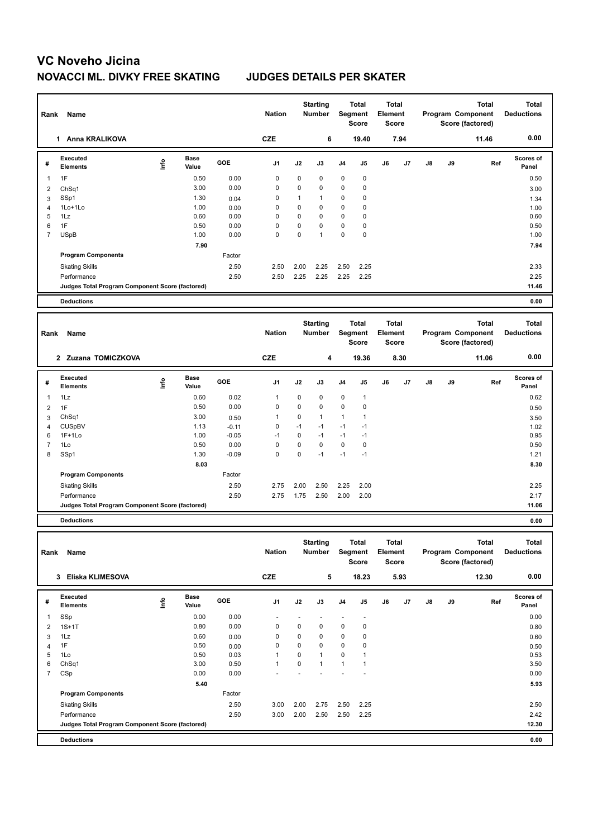## **VC Noveho Jicina NOVACCI ML. DIVKY FREE SKATING JUDGES DETAILS PER SKATER**

| Rank           | Name                                            |      |                      |         | <b>Nation</b> |              | <b>Starting</b><br><b>Number</b> |                | <b>Total</b><br>Segment<br><b>Score</b> | <b>Total</b><br>Element<br><b>Score</b> |      |    |    | <b>Total</b><br>Program Component<br>Score (factored) | <b>Total</b><br><b>Deductions</b> |
|----------------|-------------------------------------------------|------|----------------------|---------|---------------|--------------|----------------------------------|----------------|-----------------------------------------|-----------------------------------------|------|----|----|-------------------------------------------------------|-----------------------------------|
|                | 1 Anna KRALIKOVA                                |      |                      |         | <b>CZE</b>    |              | 6                                |                | 19.40                                   |                                         | 7.94 |    |    | 11.46                                                 | 0.00                              |
| #              | <b>Executed</b><br><b>Elements</b>              | lnfo | <b>Base</b><br>Value | GOE     | J1            | J2           | J3                               | J <sub>4</sub> | J <sub>5</sub>                          | J6                                      | J7   | J8 | J9 | Ref                                                   | Scores of<br>Panel                |
| $\mathbf{1}$   | 1F                                              |      | 0.50                 | 0.00    | $\mathbf 0$   | $\mathbf 0$  | 0                                | $\mathbf 0$    | 0                                       |                                         |      |    |    |                                                       | 0.50                              |
| $\overline{2}$ | ChSq1                                           |      | 3.00                 | 0.00    | $\mathbf 0$   | $\mathbf 0$  | 0                                | $\mathbf 0$    | 0                                       |                                         |      |    |    |                                                       | 3.00                              |
| 3              | SSp1                                            |      | 1.30                 | 0.04    | $\mathbf 0$   | $\mathbf{1}$ | $\overline{1}$                   | $\mathbf 0$    | 0                                       |                                         |      |    |    |                                                       | 1.34                              |
| 4              | 1Lo+1Lo                                         |      | 1.00                 | 0.00    | $\mathbf 0$   | $\mathbf 0$  | 0                                | $\mathbf 0$    | 0                                       |                                         |      |    |    |                                                       | 1.00                              |
| 5              | 1Lz                                             |      | 0.60                 | 0.00    | $\Omega$      | $\Omega$     | $\mathbf 0$                      | $\Omega$       | $\overline{0}$                          |                                         |      |    |    |                                                       | 0.60                              |
| 6              | 1F                                              |      | 0.50                 | 0.00    | $\mathbf 0$   | $\mathbf 0$  | 0                                | $\mathbf 0$    | 0                                       |                                         |      |    |    |                                                       | 0.50                              |
| $\overline{7}$ | <b>USpB</b>                                     |      | 1.00                 | 0.00    | $\Omega$      | $\Omega$     | $\overline{1}$                   | $\Omega$       | $\overline{0}$                          |                                         |      |    |    |                                                       | 1.00                              |
|                |                                                 |      | 7.90                 |         |               |              |                                  |                |                                         |                                         |      |    |    |                                                       | 7.94                              |
|                | <b>Program Components</b>                       |      |                      | Factor  |               |              |                                  |                |                                         |                                         |      |    |    |                                                       |                                   |
|                | <b>Skating Skills</b>                           |      |                      | 2.50    | 2.50          | 2.00         | 2.25                             | 2.50           | 2.25                                    |                                         |      |    |    |                                                       | 2.33                              |
|                | Performance                                     |      |                      | 2.50    | 2.50          | 2.25         | 2.25                             | 2.25           | 2.25                                    |                                         |      |    |    |                                                       | 2.25                              |
|                | Judges Total Program Component Score (factored) |      |                      |         |               |              |                                  |                |                                         |                                         |      |    |    |                                                       | 11.46                             |
|                | <b>Deductions</b>                               |      |                      |         |               |              |                                  |                |                                         |                                         |      |    |    |                                                       | 0.00                              |
|                |                                                 |      |                      |         |               |              |                                  |                |                                         |                                         |      |    |    |                                                       |                                   |
| Rank           | Name                                            |      |                      |         | <b>Nation</b> |              | <b>Starting</b><br><b>Number</b> |                | <b>Total</b><br>Segment<br><b>Score</b> | <b>Total</b><br>Element<br><b>Score</b> |      |    |    | Total<br>Program Component<br>Score (factored)        | Total<br><b>Deductions</b>        |
|                | 2 Zuzana TOMICZKOVA                             |      |                      |         | <b>CZE</b>    |              | 4                                |                | 19.36                                   |                                         | 8.30 |    |    | 11.06                                                 | 0.00                              |
| #              | Executed<br><b>Elements</b>                     | Info | <b>Base</b><br>Value | GOE     | J1            | J2           | J3                               | J <sub>4</sub> | J5                                      | J6                                      | J7   | J8 | J9 | Ref                                                   | Scores of<br>Panel                |
| 1              | 1Lz                                             |      | 0.60                 | 0.02    | $\mathbf{1}$  | $\mathbf 0$  | 0                                | 0              | $\mathbf{1}$                            |                                         |      |    |    |                                                       | 0.62                              |
| $\overline{2}$ | 1F                                              |      | 0.50                 | 0.00    | $\mathbf 0$   | $\mathbf 0$  | 0                                | $\mathbf 0$    | 0                                       |                                         |      |    |    |                                                       | 0.50                              |
| 3              | ChSq1                                           |      | 3.00                 | 0.50    | $\mathbf{1}$  | $\mathbf 0$  | $\mathbf{1}$                     | $\mathbf{1}$   | $\mathbf{1}$                            |                                         |      |    |    |                                                       | 3.50                              |
| 4              | <b>CUSpBV</b>                                   |      | 1.13                 | $-0.11$ | $\mathbf 0$   | $-1$         | $-1$                             | $-1$           | $-1$                                    |                                         |      |    |    |                                                       | 1.02                              |
| 6              | $1F+1Lo$                                        |      | 1.00                 | $-0.05$ | $-1$          | $\mathbf 0$  | $-1$                             | $-1$           | $-1$                                    |                                         |      |    |    |                                                       | 0.95                              |
| $\overline{7}$ | 1Lo                                             |      | 0.50                 | 0.00    | $\mathbf 0$   | $\mathbf 0$  | $\mathbf 0$                      | $\pmb{0}$      | 0                                       |                                         |      |    |    |                                                       | 0.50                              |
| 8              |                                                 |      |                      |         |               |              |                                  |                |                                         |                                         |      |    |    |                                                       |                                   |
|                | SSp1                                            |      | 1.30                 | $-0.09$ | $\Omega$      | $\Omega$     | $-1$                             | $-1$           | $-1$                                    |                                         |      |    |    |                                                       | 1.21                              |
|                |                                                 |      | 8.03                 |         |               |              |                                  |                |                                         |                                         |      |    |    |                                                       | 8.30                              |
|                | <b>Program Components</b>                       |      |                      | Factor  |               |              |                                  |                |                                         |                                         |      |    |    |                                                       |                                   |
|                | <b>Skating Skills</b>                           |      |                      | 2.50    | 2.75          | 2.00         | 2.50                             | 2.25           | 2.00                                    |                                         |      |    |    |                                                       | 2.25                              |
|                | Performance                                     |      |                      | 2.50    | 2.75          | 1.75         | 2.50                             | 2.00           | 2.00                                    |                                         |      |    |    |                                                       | 2.17                              |
|                | Judges Total Program Component Score (factored) |      |                      |         |               |              |                                  |                |                                         |                                         |      |    |    |                                                       | 11.06                             |
|                | <b>Deductions</b>                               |      |                      |         |               |              |                                  |                |                                         |                                         |      |    |    |                                                       | 0.00                              |
|                |                                                 |      |                      |         |               |              |                                  |                |                                         |                                         |      |    |    |                                                       |                                   |

| Name<br>Rank                       |      |                      |                                                 |                |               | otal tilly<br><b>Number</b> |                | ινιαι<br>Segment<br><b>Score</b> |       | ινιαι<br>Element<br><b>Score</b> |               |    | ινιαι | ινιαι<br><b>Deductions</b>            |  |
|------------------------------------|------|----------------------|-------------------------------------------------|----------------|---------------|-----------------------------|----------------|----------------------------------|-------|----------------------------------|---------------|----|-------|---------------------------------------|--|
| Eliska KLIMESOVA                   |      |                      |                                                 | <b>CZE</b>     |               |                             |                |                                  |       |                                  |               |    | 12.30 | 0.00                                  |  |
| <b>Executed</b><br><b>Elements</b> | ١nf٥ | <b>Base</b><br>Value | GOE                                             | J <sub>1</sub> | J2            | J3                          | J <sub>4</sub> | J <sub>5</sub>                   | J6    | J <sub>7</sub>                   | $\mathsf{J}8$ | J9 | Ref   | <b>Scores of</b><br>Panel             |  |
| SSp                                |      | 0.00                 | 0.00                                            |                |               |                             |                |                                  |       |                                  |               |    |       | 0.00                                  |  |
| $1S+1T$                            |      | 0.80                 | 0.00                                            | $\mathbf 0$    | 0             | $\mathbf 0$                 | 0              | 0                                |       |                                  |               |    |       | 0.80                                  |  |
| 1Lz                                |      | 0.60                 | 0.00                                            | 0              | 0             | 0                           | 0              | 0                                |       |                                  |               |    |       | 0.60                                  |  |
| 1F                                 |      | 0.50                 | 0.00                                            | 0              | $\mathbf{0}$  | $\mathbf 0$                 | 0              | 0                                |       |                                  |               |    |       | 0.50                                  |  |
| 1Lo                                |      | 0.50                 | 0.03                                            | 1              | 0             | $\overline{1}$              | $\mathbf 0$    | 1                                |       |                                  |               |    |       | 0.53                                  |  |
| ChSq1                              |      | 3.00                 | 0.50                                            | 1              | $\mathbf 0$   | $\mathbf{1}$                | 1              | 1                                |       |                                  |               |    |       | 3.50                                  |  |
| CSp                                |      | 0.00                 | 0.00                                            |                |               |                             |                |                                  |       |                                  |               |    |       | 0.00                                  |  |
|                                    |      | 5.40                 |                                                 |                |               |                             |                |                                  |       |                                  |               |    |       | 5.93                                  |  |
| <b>Program Components</b>          |      |                      | Factor                                          |                |               |                             |                |                                  |       |                                  |               |    |       |                                       |  |
| <b>Skating Skills</b>              |      |                      | 2.50                                            | 3.00           | 2.00          | 2.75                        | 2.50           | 2.25                             |       |                                  |               |    |       | 2.50                                  |  |
| Performance                        |      |                      | 2.50                                            | 3.00           | 2.00          | 2.50                        | 2.50           | 2.25                             |       |                                  |               |    |       | 2.42                                  |  |
|                                    |      |                      |                                                 |                |               |                             |                |                                  |       |                                  |               |    |       | 12.30                                 |  |
| <b>Deductions</b>                  |      |                      |                                                 |                |               |                             |                |                                  |       |                                  |               |    |       | 0.00                                  |  |
|                                    | 3    |                      | Judges Total Program Component Score (factored) |                | <b>Nation</b> |                             |                | 5                                | 18.23 |                                  | 5.93          |    |       | Program Component<br>Score (factored) |  |